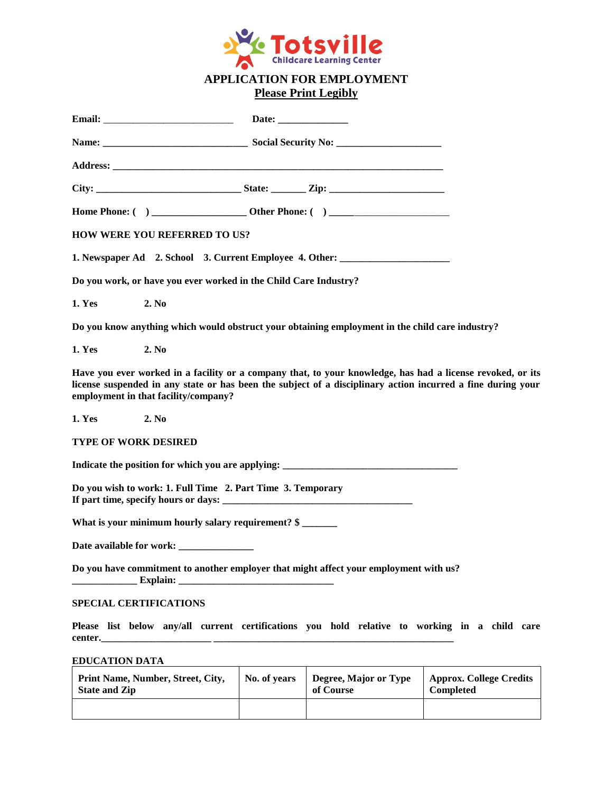

# **APPLICATION FOR EMPLOYMENT Please Print Legibly**

| <b>HOW WERE YOU REFERRED TO US?</b>                                                                                                                                                                                                                               |              |                                    |                                             |
|-------------------------------------------------------------------------------------------------------------------------------------------------------------------------------------------------------------------------------------------------------------------|--------------|------------------------------------|---------------------------------------------|
| 1. Newspaper Ad 2. School 3. Current Employee 4. Other: ________________________                                                                                                                                                                                  |              |                                    |                                             |
| Do you work, or have you ever worked in the Child Care Industry?                                                                                                                                                                                                  |              |                                    |                                             |
| <b>1. Yes</b><br>2. No                                                                                                                                                                                                                                            |              |                                    |                                             |
| Do you know anything which would obstruct your obtaining employment in the child care industry?                                                                                                                                                                   |              |                                    |                                             |
| <b>1. Yes</b><br>2. No                                                                                                                                                                                                                                            |              |                                    |                                             |
| Have you ever worked in a facility or a company that, to your knowledge, has had a license revoked, or its<br>license suspended in any state or has been the subject of a disciplinary action incurred a fine during your<br>employment in that facility/company? |              |                                    |                                             |
| <b>1. Yes</b><br>2. No                                                                                                                                                                                                                                            |              |                                    |                                             |
| <b>TYPE OF WORK DESIRED</b>                                                                                                                                                                                                                                       |              |                                    |                                             |
| Indicate the position for which you are applying: _______________________________                                                                                                                                                                                 |              |                                    |                                             |
| Do you wish to work: 1. Full Time 2. Part Time 3. Temporary                                                                                                                                                                                                       |              |                                    |                                             |
| What is your minimum hourly salary requirement? \$                                                                                                                                                                                                                |              |                                    |                                             |
|                                                                                                                                                                                                                                                                   |              |                                    |                                             |
| Do you have commitment to another employer that might affect your employment with us?<br>Explain: $\overline{\phantom{a}}$                                                                                                                                        |              |                                    |                                             |
| SPECIAL CERTIFICATIONS                                                                                                                                                                                                                                            |              |                                    |                                             |
| Please list below any/all current certifications you hold relative to working in a child care<br>center.                                                                                                                                                          |              |                                    |                                             |
| <b>EDUCATION DATA</b>                                                                                                                                                                                                                                             |              |                                    |                                             |
| Print Name, Number, Street, City,<br><b>State and Zip</b>                                                                                                                                                                                                         | No. of years | Degree, Major or Type<br>of Course | <b>Approx. College Credits</b><br>Completed |
|                                                                                                                                                                                                                                                                   |              |                                    |                                             |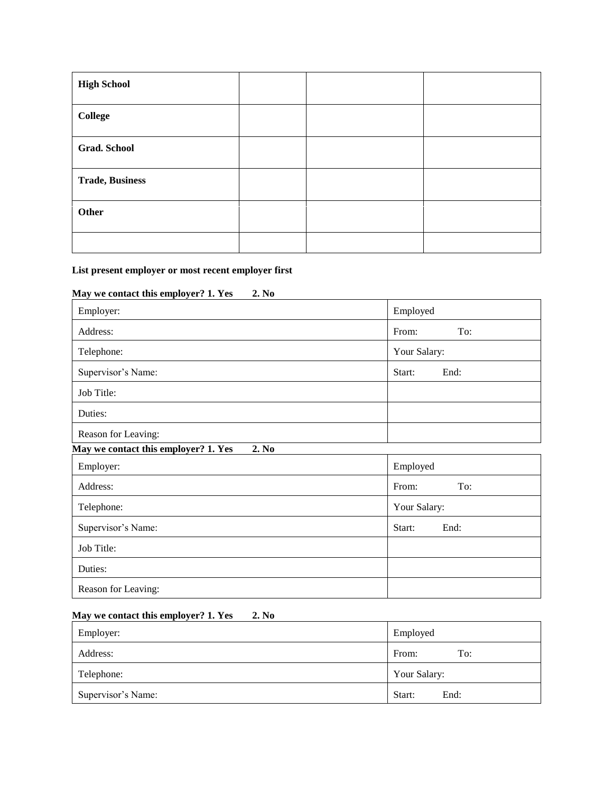| <b>High School</b>     |  |  |
|------------------------|--|--|
| <b>College</b>         |  |  |
| <b>Grad. School</b>    |  |  |
| <b>Trade, Business</b> |  |  |
| Other                  |  |  |
|                        |  |  |

#### **List present employer or most recent employer first**

# **May we contact this employer? 1. Yes 2. No**

| Employer:                                     | Employed       |  |
|-----------------------------------------------|----------------|--|
| Address:                                      | From:<br>To:   |  |
| Telephone:                                    | Your Salary:   |  |
| Supervisor's Name:                            | End:<br>Start: |  |
| Job Title:                                    |                |  |
| Duties:                                       |                |  |
| Reason for Leaving:                           |                |  |
| May we contact this employer? 1. Yes<br>2. No |                |  |
| Employer <sup>.</sup>                         | Employed       |  |

| Employer:           | Employed       |
|---------------------|----------------|
| Address:            | From:<br>To:   |
| Telephone:          | Your Salary:   |
| Supervisor's Name:  | End:<br>Start: |
| Job Title:          |                |
| Duties:             |                |
| Reason for Leaving: |                |

### **May we contact this employer? 1. Yes 2. No**

| Employer:          | Employed       |
|--------------------|----------------|
| Address:           | From:<br>To:   |
| Telephone:         | Your Salary:   |
| Supervisor's Name: | Start:<br>End: |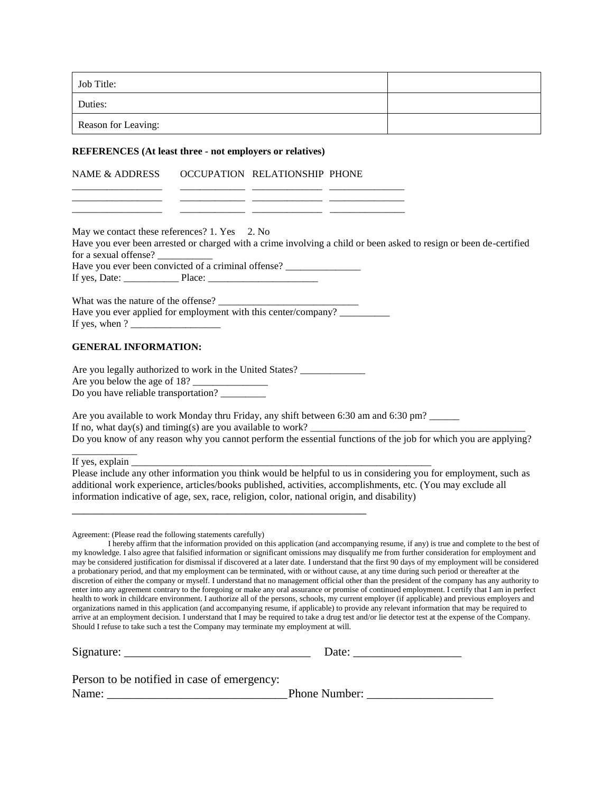| Job Title:                                                  |                                                                                                                   |                                                                                                       |                                                                                                                                                                                                                                                                                                                                                                                                                                                                                                                                                                                                                                                                                                                                                                                                                                                                                                                                                                                                                                                                                                                                                                                                                                                                                                                                                                    |
|-------------------------------------------------------------|-------------------------------------------------------------------------------------------------------------------|-------------------------------------------------------------------------------------------------------|--------------------------------------------------------------------------------------------------------------------------------------------------------------------------------------------------------------------------------------------------------------------------------------------------------------------------------------------------------------------------------------------------------------------------------------------------------------------------------------------------------------------------------------------------------------------------------------------------------------------------------------------------------------------------------------------------------------------------------------------------------------------------------------------------------------------------------------------------------------------------------------------------------------------------------------------------------------------------------------------------------------------------------------------------------------------------------------------------------------------------------------------------------------------------------------------------------------------------------------------------------------------------------------------------------------------------------------------------------------------|
| Duties:                                                     |                                                                                                                   |                                                                                                       |                                                                                                                                                                                                                                                                                                                                                                                                                                                                                                                                                                                                                                                                                                                                                                                                                                                                                                                                                                                                                                                                                                                                                                                                                                                                                                                                                                    |
| Reason for Leaving:                                         |                                                                                                                   |                                                                                                       |                                                                                                                                                                                                                                                                                                                                                                                                                                                                                                                                                                                                                                                                                                                                                                                                                                                                                                                                                                                                                                                                                                                                                                                                                                                                                                                                                                    |
|                                                             | <b>REFERENCES</b> (At least three - not employers or relatives)                                                   |                                                                                                       |                                                                                                                                                                                                                                                                                                                                                                                                                                                                                                                                                                                                                                                                                                                                                                                                                                                                                                                                                                                                                                                                                                                                                                                                                                                                                                                                                                    |
| <b>NAME &amp; ADDRESS</b>                                   | OCCUPATION RELATIONSHIP PHONE                                                                                     |                                                                                                       |                                                                                                                                                                                                                                                                                                                                                                                                                                                                                                                                                                                                                                                                                                                                                                                                                                                                                                                                                                                                                                                                                                                                                                                                                                                                                                                                                                    |
|                                                             |                                                                                                                   |                                                                                                       |                                                                                                                                                                                                                                                                                                                                                                                                                                                                                                                                                                                                                                                                                                                                                                                                                                                                                                                                                                                                                                                                                                                                                                                                                                                                                                                                                                    |
| for a sexual offense?                                       | May we contact these references? 1. Yes 2. No                                                                     |                                                                                                       | Have you ever been arrested or charged with a crime involving a child or been asked to resign or been de-certified                                                                                                                                                                                                                                                                                                                                                                                                                                                                                                                                                                                                                                                                                                                                                                                                                                                                                                                                                                                                                                                                                                                                                                                                                                                 |
|                                                             | Have you ever been convicted of a criminal offense? _____________________________                                 |                                                                                                       |                                                                                                                                                                                                                                                                                                                                                                                                                                                                                                                                                                                                                                                                                                                                                                                                                                                                                                                                                                                                                                                                                                                                                                                                                                                                                                                                                                    |
|                                                             |                                                                                                                   | What was the nature of the offense?<br>Have you ever applied for employment with this center/company? |                                                                                                                                                                                                                                                                                                                                                                                                                                                                                                                                                                                                                                                                                                                                                                                                                                                                                                                                                                                                                                                                                                                                                                                                                                                                                                                                                                    |
| <b>GENERAL INFORMATION:</b>                                 |                                                                                                                   |                                                                                                       |                                                                                                                                                                                                                                                                                                                                                                                                                                                                                                                                                                                                                                                                                                                                                                                                                                                                                                                                                                                                                                                                                                                                                                                                                                                                                                                                                                    |
| Do you have reliable transportation? ________               | Are you legally authorized to work in the United States? ________________________<br>Are you below the age of 18? |                                                                                                       |                                                                                                                                                                                                                                                                                                                                                                                                                                                                                                                                                                                                                                                                                                                                                                                                                                                                                                                                                                                                                                                                                                                                                                                                                                                                                                                                                                    |
|                                                             |                                                                                                                   | Are you available to work Monday thru Friday, any shift between 6:30 am and 6:30 pm?                  | Do you know of any reason why you cannot perform the essential functions of the job for which you are applying?                                                                                                                                                                                                                                                                                                                                                                                                                                                                                                                                                                                                                                                                                                                                                                                                                                                                                                                                                                                                                                                                                                                                                                                                                                                    |
| If yes, explain                                             |                                                                                                                   |                                                                                                       |                                                                                                                                                                                                                                                                                                                                                                                                                                                                                                                                                                                                                                                                                                                                                                                                                                                                                                                                                                                                                                                                                                                                                                                                                                                                                                                                                                    |
|                                                             |                                                                                                                   | information indicative of age, sex, race, religion, color, national origin, and disability)           | Please include any other information you think would be helpful to us in considering you for employment, such as<br>additional work experience, articles/books published, activities, accomplishments, etc. (You may exclude all                                                                                                                                                                                                                                                                                                                                                                                                                                                                                                                                                                                                                                                                                                                                                                                                                                                                                                                                                                                                                                                                                                                                   |
| Agreement: (Please read the following statements carefully) | Should I refuse to take such a test the Company may terminate my employment at will.                              |                                                                                                       | I hereby affirm that the information provided on this application (and accompanying resume, if any) is true and complete to the best of<br>my knowledge. I also agree that falsified information or significant omissions may disqualify me from further consideration for employment and<br>may be considered justification for dismissal if discovered at a later date. I understand that the first 90 days of my employment will be considered<br>a probationary period, and that my employment can be terminated, with or without cause, at any time during such period or thereafter at the<br>discretion of either the company or myself. I understand that no management official other than the president of the company has any authority to<br>enter into any agreement contrary to the foregoing or make any oral assurance or promise of continued employment. I certify that I am in perfect<br>health to work in childcare environment. I authorize all of the persons, schools, my current employer (if applicable) and previous employers and<br>organizations named in this application (and accompanying resume, if applicable) to provide any relevant information that may be required to<br>arrive at an employment decision. I understand that I may be required to take a drug test and/or lie detector test at the expense of the Company. |
|                                                             |                                                                                                                   |                                                                                                       |                                                                                                                                                                                                                                                                                                                                                                                                                                                                                                                                                                                                                                                                                                                                                                                                                                                                                                                                                                                                                                                                                                                                                                                                                                                                                                                                                                    |
|                                                             | Person to be notified in case of emergency:                                                                       |                                                                                                       |                                                                                                                                                                                                                                                                                                                                                                                                                                                                                                                                                                                                                                                                                                                                                                                                                                                                                                                                                                                                                                                                                                                                                                                                                                                                                                                                                                    |
|                                                             |                                                                                                                   |                                                                                                       |                                                                                                                                                                                                                                                                                                                                                                                                                                                                                                                                                                                                                                                                                                                                                                                                                                                                                                                                                                                                                                                                                                                                                                                                                                                                                                                                                                    |